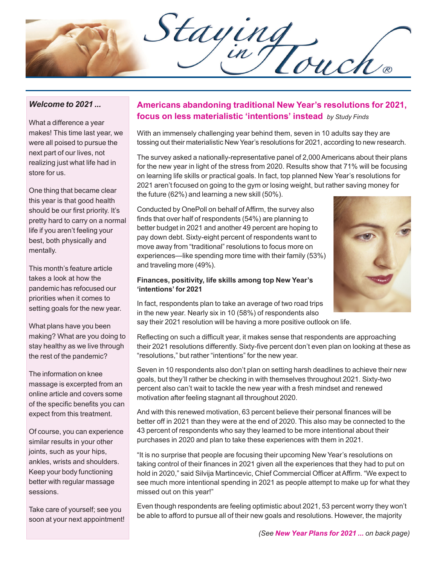Staying

## *Welcome to 2021 ...*

What a difference a year makes! This time last year, we were all poised to pursue the next part of our lives, not realizing just what life had in store for us.

One thing that became clear this year is that good health should be our first priority. It's pretty hard to carry on a normal life if you aren't feeling your best, both physically and mentally.

This month's feature article takes a look at how the pandemic has refocused our priorities when it comes to setting goals for the new year.

What plans have you been making? What are you doing to stay healthy as we live through the rest of the pandemic?

The information on knee massage is excerpted from an online article and covers some of the specific benefits you can expect from this treatment.

Of course, you can experience similar results in your other joints, such as your hips, ankles, wrists and shoulders. Keep your body functioning better with regular massage sessions.

Take care of yourself; see you soon at your next appointment!

## **Americans abandoning traditional New Year's resolutions for 2021, focus on less materialistic 'intentions' instead** *by Study Finds*

With an immensely challenging year behind them, seven in 10 adults say they are tossing out their materialistic New Year's resolutions for 2021, according to new research.

The survey asked a nationally-representative panel of 2,000 Americans about their plans for the new year in light of the stress from 2020. Results show that 71% will be focusing on learning life skills or practical goals. In fact, top planned New Year's resolutions for 2021 aren't focused on going to the gym or losing weight, but rather saving money for the future (62%) and learning a new skill (50%).

Conducted by OnePoll on behalf of Affirm, the survey also finds that over half of respondents (54%) are planning to better budget in 2021 and another 49 percent are hoping to pay down debt. Sixty-eight percent of respondents want to move away from "traditional" resolutions to focus more on experiences—like spending more time with their family (53%) and traveling more (49%).

### **Finances, positivity, life skills among top New Year's 'intentions' for 2021**

In fact, respondents plan to take an average of two road trips in the new year. Nearly six in 10 (58%) of respondents also say their 2021 resolution will be having a more positive outlook on life.

Reflecting on such a difficult year, it makes sense that respondents are approaching their 2021 resolutions differently. Sixty-five percent don't even plan on looking at these as "resolutions," but rather "intentions" for the new year.

Seven in 10 respondents also don't plan on setting harsh deadlines to achieve their new goals, but they'll rather be checking in with themselves throughout 2021. Sixty-two percent also can't wait to tackle the new year with a fresh mindset and renewed motivation after feeling stagnant all throughout 2020.

And with this renewed motivation, 63 percent believe their personal finances will be better off in 2021 than they were at the end of 2020. This also may be connected to the 43 percent of respondents who say they learned to be more intentional about their purchases in 2020 and plan to take these experiences with them in 2021.

"It is no surprise that people are focusing their upcoming New Year's resolutions on taking control of their finances in 2021 given all the experiences that they had to put on hold in 2020," said Silvija Martincevic, Chief Commercial Officer at Affirm. "We expect to see much more intentional spending in 2021 as people attempt to make up for what they missed out on this year!"

Even though respondents are feeling optimistic about 2021, 53 percent worry they won't be able to afford to pursue all of their new goals and resolutions. However, the majority